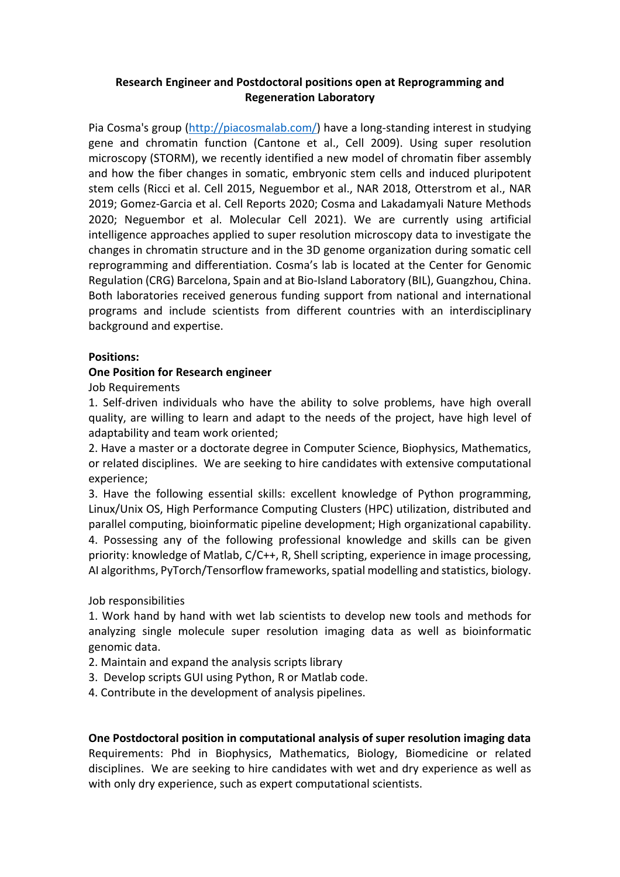# **Research Engineer and Postdoctoral positions open at Reprogramming and Regeneration Laboratory**

Pia Cosma's group (http://piacosmalab.com/) have a long-standing interest in studying gene and chromatin function (Cantone et al., Cell 2009). Using super resolution microscopy (STORM), we recently identified a new model of chromatin fiber assembly and how the fiber changes in somatic, embryonic stem cells and induced pluripotent stem cells (Ricci et al. Cell 2015, Neguembor et al., NAR 2018, Otterstrom et al., NAR 2019; Gomez-Garcia et al. Cell Reports 2020; Cosma and Lakadamyali Nature Methods 2020; Neguembor et al. Molecular Cell 2021). We are currently using artificial intelligence approaches applied to super resolution microscopy data to investigate the changes in chromatin structure and in the 3D genome organization during somatic cell reprogramming and differentiation. Cosma's lab is located at the Center for Genomic Regulation (CRG) Barcelona, Spain and at Bio-Island Laboratory (BIL), Guangzhou, China. Both laboratories received generous funding support from national and international programs and include scientists from different countries with an interdisciplinary background and expertise.

## **Positions:**

## **One Position for Research engineer**

Job Requirements

1. Self-driven individuals who have the ability to solve problems, have high overall quality, are willing to learn and adapt to the needs of the project, have high level of adaptability and team work oriented;

2. Have a master or a doctorate degree in Computer Science, Biophysics, Mathematics, or related disciplines. We are seeking to hire candidates with extensive computational experience;

3. Have the following essential skills: excellent knowledge of Python programming, Linux/Unix OS, High Performance Computing Clusters (HPC) utilization, distributed and parallel computing, bioinformatic pipeline development; High organizational capability. 4. Possessing any of the following professional knowledge and skills can be given priority: knowledge of Matlab, C/C++, R, Shell scripting, experience in image processing, AI algorithms, PyTorch/Tensorflow frameworks, spatial modelling and statistics, biology.

Job responsibilities

1. Work hand by hand with wet lab scientists to develop new tools and methods for analyzing single molecule super resolution imaging data as well as bioinformatic genomic data.

- 2. Maintain and expand the analysis scripts library
- 3. Develop scripts GUI using Python, R or Matlab code.
- 4. Contribute in the development of analysis pipelines.

**One Postdoctoral position in computational analysis of super resolution imaging data** Requirements: Phd in Biophysics, Mathematics, Biology, Biomedicine or related disciplines. We are seeking to hire candidates with wet and dry experience as well as with only dry experience, such as expert computational scientists.